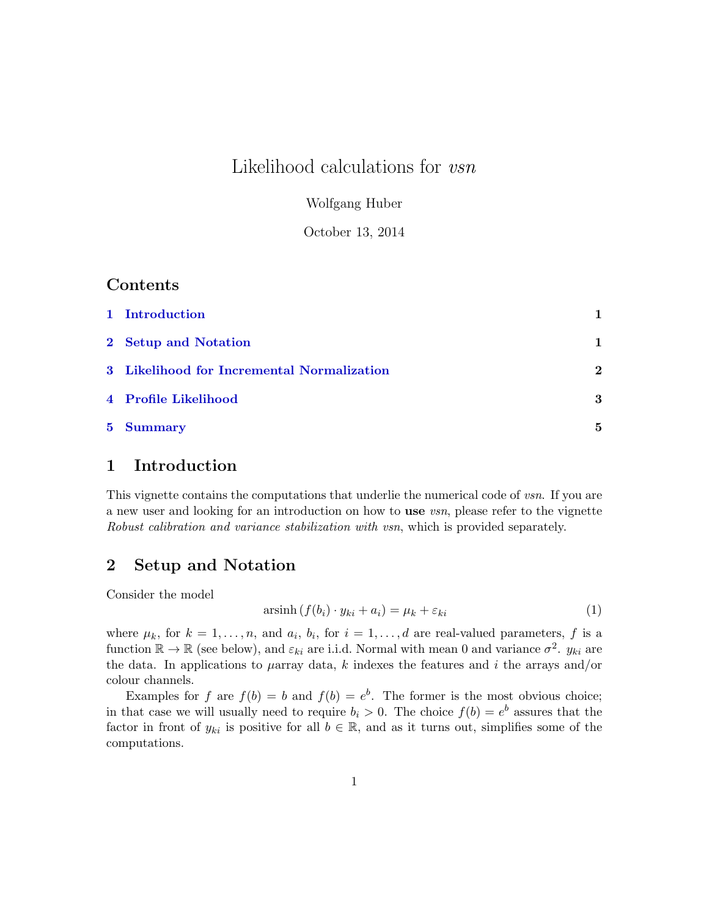# Likelihood calculations for *vsn*

Wolfgang Huber

October 13, 2014

### Contents

| 1 Introduction                             |             |
|--------------------------------------------|-------------|
| 2 Setup and Notation                       | 1           |
| 3 Likelihood for Incremental Normalization | $\mathbf 2$ |
| 4 Profile Likelihood                       | 3           |
| 5 Summary                                  | 5           |

### <span id="page-0-0"></span>1 Introduction

This vignette contains the computations that underlie the numerical code of vsn. If you are a new user and looking for an introduction on how to use *vsn*, please refer to the vignette Robust calibration and variance stabilization with vsn, which is provided separately.

### <span id="page-0-1"></span>2 Setup and Notation

Consider the model

$$
\operatorname{arsinh}\left(f(b_i)\cdot y_{ki} + a_i\right) = \mu_k + \varepsilon_{ki} \tag{1}
$$

where  $\mu_k$ , for  $k = 1, \ldots, n$ , and  $a_i, b_i$ , for  $i = 1, \ldots, d$  are real-valued parameters, f is a function  $\mathbb{R} \to \mathbb{R}$  (see below), and  $\varepsilon_{ki}$  are i.i.d. Normal with mean 0 and variance  $\sigma^2$ .  $y_{ki}$  are the data. In applications to  $\mu$ array data, k indexes the features and i the arrays and/or colour channels.

Examples for f are  $f(b) = b$  and  $f(b) = e^b$ . The former is the most obvious choice; in that case we will usually need to require  $b_i > 0$ . The choice  $f(b) = e^b$  assures that the factor in front of  $y_{ki}$  is positive for all  $b \in \mathbb{R}$ , and as it turns out, simplifies some of the computations.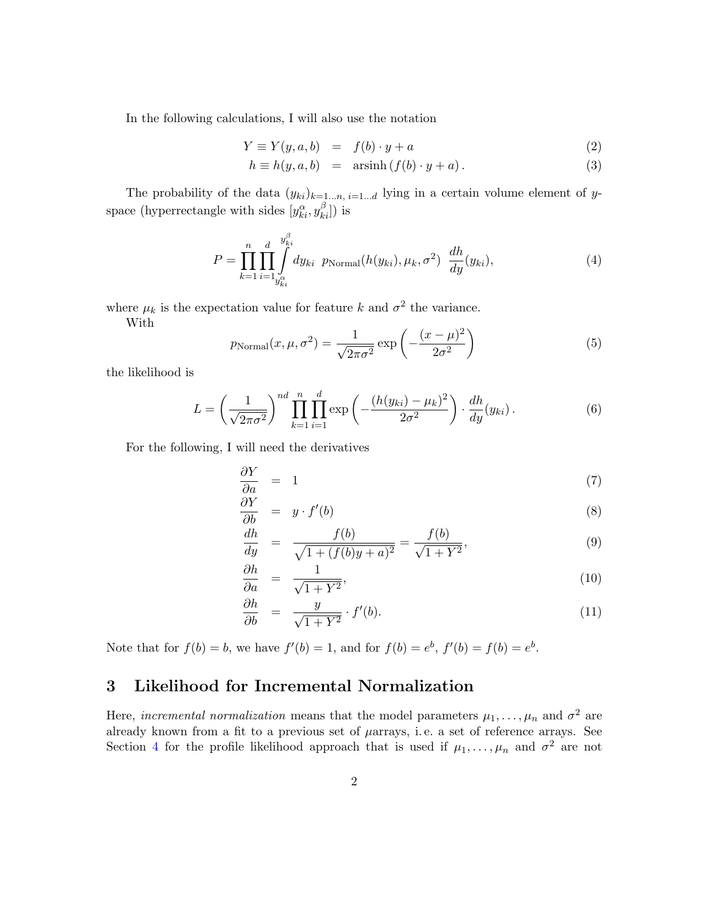<span id="page-1-2"></span>In the following calculations, I will also use the notation

$$
Y \equiv Y(y, a, b) = f(b) \cdot y + a \tag{2}
$$

$$
h \equiv h(y, a, b) = \operatorname{arsinh}(f(b) \cdot y + a). \tag{3}
$$

The probability of the data  $(y_{ki})_{k=1...n, i=1...d}$  lying in a certain volume element of yspace (hyperrectangle with sides  $[y_{ki}^\alpha, y_{ki}^\beta]$ ) is

$$
P = \prod_{k=1}^{n} \prod_{i=1}^{d} \int_{y_{ki}^{\alpha}}^{y_{ki}^{\beta}} dy_{ki} \ p_{\text{Normal}}(h(y_{ki}), \mu_k, \sigma^2) \frac{dh}{dy}(y_{ki}), \tag{4}
$$

where  $\mu_k$  is the expectation value for feature k and  $\sigma^2$  the variance.

With

$$
p_{\text{Normal}}(x, \mu, \sigma^2) = \frac{1}{\sqrt{2\pi\sigma^2}} \exp\left(-\frac{(x-\mu)^2}{2\sigma^2}\right) \tag{5}
$$

the likelihood is

<span id="page-1-1"></span>
$$
L = \left(\frac{1}{\sqrt{2\pi\sigma^2}}\right)^{nd} \prod_{k=1}^n \prod_{i=1}^d \exp\left(-\frac{(h(y_{ki}) - \mu_k)^2}{2\sigma^2}\right) \cdot \frac{dh}{dy}(y_{ki}).
$$
 (6)

For the following, I will need the derivatives

$$
\frac{\partial Y}{\partial a} = 1 \tag{7}
$$

$$
\frac{\partial Y}{\partial b} = y \cdot f'(b) \tag{8}
$$

$$
\frac{dh}{dy} = \frac{f(b)}{\sqrt{1 + (f(b)y + a)^2}} = \frac{f(b)}{\sqrt{1 + Y^2}},
$$
\n(9)

$$
\frac{\partial h}{\partial a} = \frac{1}{\sqrt{1 + Y^2}},\tag{10}
$$

$$
\frac{\partial h}{\partial b} = \frac{y}{\sqrt{1+Y^2}} \cdot f'(b). \tag{11}
$$

Note that for  $f(b) = b$ , we have  $f'(b) = 1$ , and for  $f(b) = e^b$ ,  $f'(b) = f(b) = e^b$ .

## <span id="page-1-0"></span>3 Likelihood for Incremental Normalization

Here, incremental normalization means that the model parameters  $\mu_1, \ldots, \mu_n$  and  $\sigma^2$  are already known from a fit to a previous set of  $\mu$ arrays, i.e. a set of reference arrays. See Section [4](#page-3-0) for the profile likelihood approach that is used if  $\mu_1, \ldots, \mu_n$  and  $\sigma^2$  are not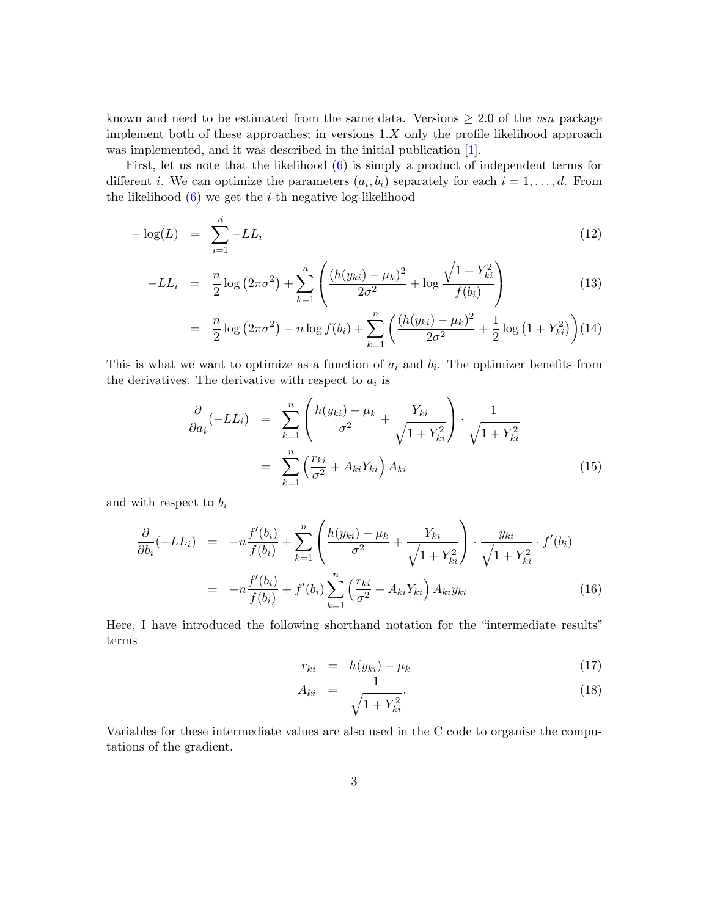known and need to be estimated from the same data. Versions  $\geq 2.0$  of the vsn package implement both of these approaches; in versions  $1.X$  only the profile likelihood approach was implemented, and it was described in the initial publication [\[1\]](#page-4-1).

First, let us note that the likelihood [\(6\)](#page-1-1) is simply a product of independent terms for different *i*. We can optimize the parameters  $(a_i, b_i)$  separately for each  $i = 1, \ldots, d$ . From the likelihood  $(6)$  we get the *i*-th negative log-likelihood

<span id="page-2-0"></span>
$$
-\log(L) = \sum_{i=1}^{d} -LL_i \tag{12}
$$

$$
-LL_{i} = \frac{n}{2}\log\left(2\pi\sigma^{2}\right) + \sum_{k=1}^{n} \left(\frac{(h(y_{ki}) - \mu_{k})^{2}}{2\sigma^{2}} + \log\frac{\sqrt{1 + Y_{ki}^{2}}}{f(b_{i})}\right)
$$
(13)

$$
= \frac{n}{2}\log\left(2\pi\sigma^2\right) - n\log f(b_i) + \sum_{k=1}^n \left(\frac{(h(y_{ki}) - \mu_k)^2}{2\sigma^2} + \frac{1}{2}\log\left(1 + Y_{ki}^2\right)\right)
$$
(14)

This is what we want to optimize as a function of  $a_i$  and  $b_i$ . The optimizer benefits from the derivatives. The derivative with respect to  $a_i$  is

<span id="page-2-1"></span>
$$
\frac{\partial}{\partial a_i}(-LL_i) = \sum_{k=1}^n \left( \frac{h(y_{ki}) - \mu_k}{\sigma^2} + \frac{Y_{ki}}{\sqrt{1 + Y_{ki}^2}} \right) \cdot \frac{1}{\sqrt{1 + Y_{ki}^2}}
$$
\n
$$
= \sum_{k=1}^n \left( \frac{r_{ki}}{\sigma^2} + A_{ki} Y_{ki} \right) A_{ki} \tag{15}
$$

and with respect to  $b_i$ 

d

<span id="page-2-2"></span>
$$
\frac{\partial}{\partial b_i}(-LL_i) = -n \frac{f'(b_i)}{f(b_i)} + \sum_{k=1}^n \left( \frac{h(y_{ki}) - \mu_k}{\sigma^2} + \frac{Y_{ki}}{\sqrt{1 + Y_{ki}^2}} \right) \cdot \frac{y_{ki}}{\sqrt{1 + Y_{ki}^2}} \cdot f'(b_i)
$$
\n
$$
= -n \frac{f'(b_i)}{f(b_i)} + f'(b_i) \sum_{k=1}^n \left( \frac{r_{ki}}{\sigma^2} + A_{ki} Y_{ki} \right) A_{ki} y_{ki} \tag{16}
$$

Here, I have introduced the following shorthand notation for the "intermediate results" terms

$$
r_{ki} = h(y_{ki}) - \mu_k \tag{17}
$$

$$
A_{ki} = \frac{1}{\sqrt{1 + Y_{ki}^2}}.\t(18)
$$

Variables for these intermediate values are also used in the C code to organise the computations of the gradient.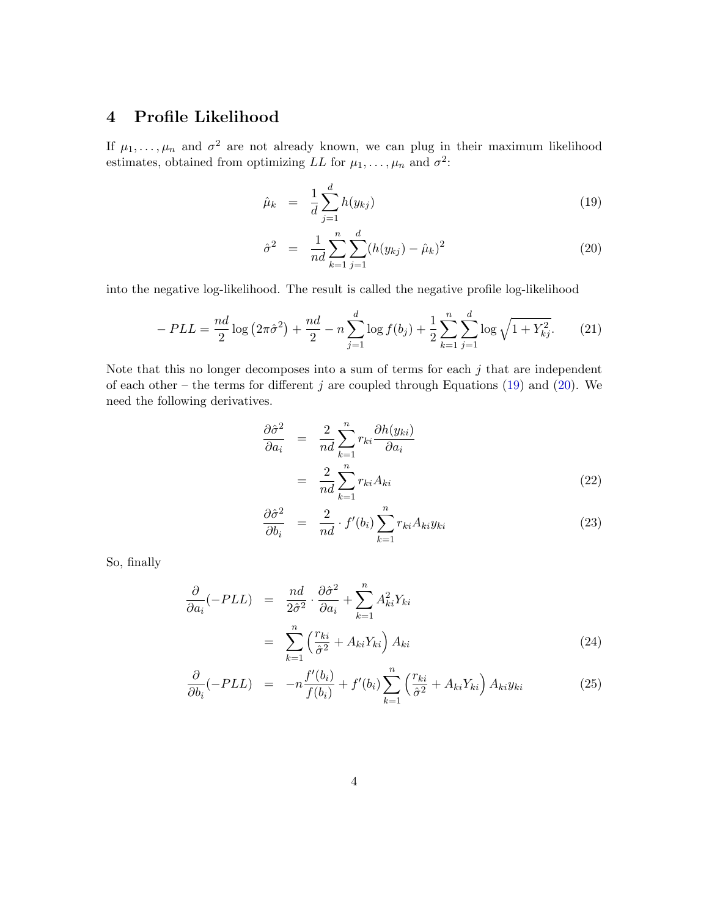# <span id="page-3-0"></span>4 Profile Likelihood

If  $\mu_1, \ldots, \mu_n$  and  $\sigma^2$  are not already known, we can plug in their maximum likelihood estimates, obtained from optimizing LL for  $\mu_1, \ldots, \mu_n$  and  $\sigma^2$ :

<span id="page-3-1"></span>
$$
\hat{\mu}_k = \frac{1}{d} \sum_{j=1}^d h(y_{kj}) \tag{19}
$$

$$
\hat{\sigma}^2 = \frac{1}{nd} \sum_{k=1}^n \sum_{j=1}^d (h(y_{kj}) - \hat{\mu}_k)^2
$$
\n(20)

into the negative log-likelihood. The result is called the negative profile log-likelihood

<span id="page-3-2"></span>
$$
-PLL = \frac{nd}{2}\log\left(2\pi\hat{\sigma}^2\right) + \frac{nd}{2} - n\sum_{j=1}^d \log f(b_j) + \frac{1}{2}\sum_{k=1}^n \sum_{j=1}^d \log\sqrt{1 + Y_{kj}^2}.
$$
 (21)

Note that this no longer decomposes into a sum of terms for each  $j$  that are independent of each other – the terms for different j are coupled through Equations  $(19)$  and  $(20)$ . We need the following derivatives.

$$
\frac{\partial \hat{\sigma}^2}{\partial a_i} = \frac{2}{nd} \sum_{k=1}^n r_{ki} \frac{\partial h(y_{ki})}{\partial a_i}
$$

$$
= \frac{2}{nd} \sum_{k=1}^n r_{ki} A_{ki} \tag{22}
$$

$$
\frac{\partial \hat{\sigma}^2}{\partial b_i} = \frac{2}{nd} \cdot f'(b_i) \sum_{k=1}^n r_{ki} A_{ki} y_{ki}
$$
\n(23)

So, finally

<span id="page-3-3"></span>
$$
\frac{\partial}{\partial a_i}(-PLL) = \frac{nd}{2\hat{\sigma}^2} \cdot \frac{\partial \hat{\sigma}^2}{\partial a_i} + \sum_{k=1}^n A_{ki}^2 Y_{ki}
$$
\n
$$
= \sum_{k=1}^n \left(\frac{r_{ki}}{\hat{\sigma}^2} + A_{ki} Y_{ki}\right) A_{ki} \tag{24}
$$

$$
\frac{\partial}{\partial b_i}(-PLL) = -n \frac{f'(b_i)}{f(b_i)} + f'(b_i) \sum_{k=1}^n \left(\frac{r_{ki}}{\hat{\sigma}^2} + A_{ki} Y_{ki}\right) A_{ki} y_{ki}
$$
(25)